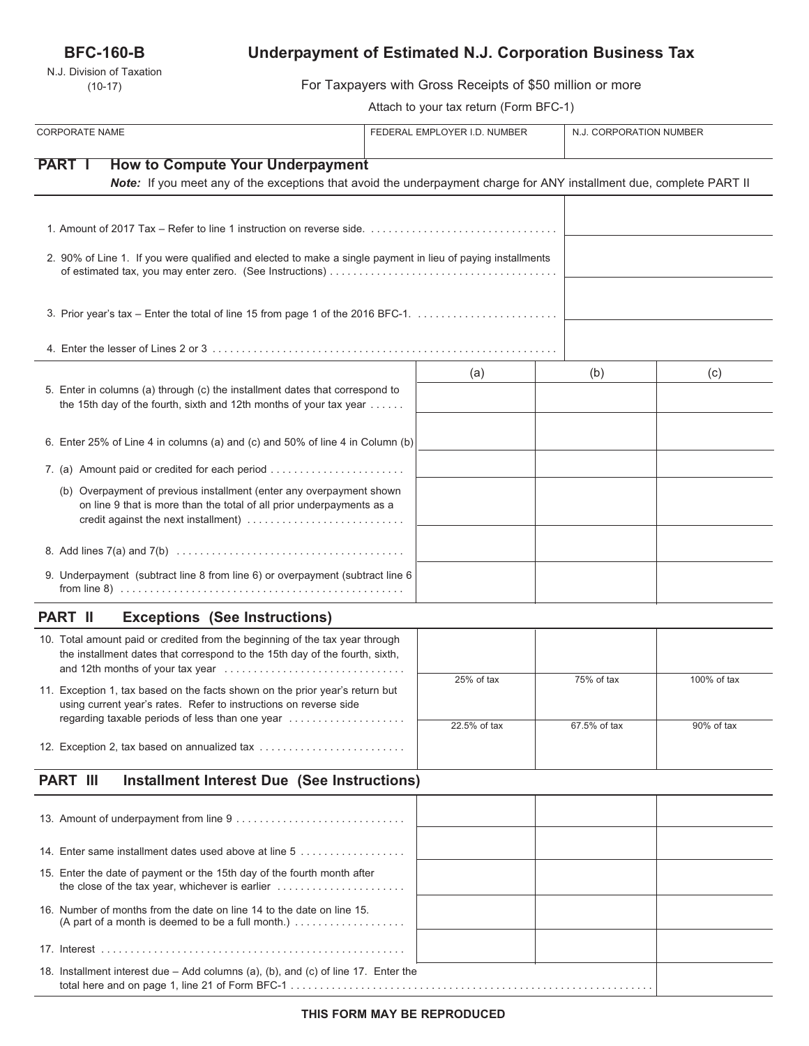## **BFC-160-B**

N.J. Division of Taxation (10-17)

# **Underpayment of Estimated N.J. Corporation Business Tax**

For Taxpayers with Gross Receipts of \$50 million or more

Attach to your tax return (Form BFC-1)

| <b>CORPORATE NAME</b>                                                                                                                                                                 | FEDERAL EMPLOYER I.D. NUMBER | N.J. CORPORATION NUMBER |             |
|---------------------------------------------------------------------------------------------------------------------------------------------------------------------------------------|------------------------------|-------------------------|-------------|
| <b>PART I</b><br><b>How to Compute Your Underpayment</b><br>Note: If you meet any of the exceptions that avoid the underpayment charge for ANY installment due, complete PART II      |                              |                         |             |
| 1. Amount of 2017 Tax – Refer to line 1 instruction on reverse side. $\ldots \ldots \ldots \ldots \ldots \ldots \ldots \ldots \ldots \ldots$                                          |                              |                         |             |
| 2. 90% of Line 1. If you were qualified and elected to make a single payment in lieu of paying installments                                                                           |                              |                         |             |
| 3. Prior year's tax - Enter the total of line 15 from page 1 of the 2016 BFC-1.                                                                                                       |                              |                         |             |
|                                                                                                                                                                                       |                              |                         |             |
| 5. Enter in columns (a) through (c) the installment dates that correspond to<br>the 15th day of the fourth, sixth and 12th months of your tax year                                    | (a)                          | (b)                     | (c)         |
| 6. Enter 25% of Line 4 in columns (a) and (c) and 50% of line 4 in Column (b)                                                                                                         |                              |                         |             |
| 7. (a) Amount paid or credited for each period                                                                                                                                        |                              |                         |             |
| (b) Overpayment of previous installment (enter any overpayment shown<br>on line 9 that is more than the total of all prior underpayments as a<br>credit against the next installment) |                              |                         |             |
|                                                                                                                                                                                       |                              |                         |             |
| 9. Underpayment (subtract line 8 from line 6) or overpayment (subtract line 6                                                                                                         |                              |                         |             |
| <b>PART II</b><br><b>Exceptions (See Instructions)</b>                                                                                                                                |                              |                         |             |
| 10. Total amount paid or credited from the beginning of the tax year through<br>the installment dates that correspond to the 15th day of the fourth, sixth,                           |                              |                         |             |
| 11. Exception 1, tax based on the facts shown on the prior year's return but<br>using current vear's rates. Refer to instructions on reverse side                                     | 25% of tax                   | 75% of tax              | 100% of tax |
| regarding taxable periods of less than one year<br>12. Exception 2, tax based on annualized tax                                                                                       | 22.5% of tax                 | 67.5% of tax            | 90% of tax  |
| <b>PART III</b><br><b>Installment Interest Due (See Instructions)</b>                                                                                                                 |                              |                         |             |
|                                                                                                                                                                                       |                              |                         |             |
| 14. Enter same installment dates used above at line 5                                                                                                                                 |                              |                         |             |
| 15. Enter the date of payment or the 15th day of the fourth month after<br>the close of the tax year, whichever is earlier                                                            |                              |                         |             |
| 16. Number of months from the date on line 14 to the date on line 15.<br>(A part of a month is deemed to be a full month.) $\ldots \ldots \ldots \ldots \ldots$                       |                              |                         |             |
|                                                                                                                                                                                       |                              |                         |             |
| 18. Installment interest due – Add columns (a), (b), and (c) of line 17. Enter the                                                                                                    |                              |                         |             |